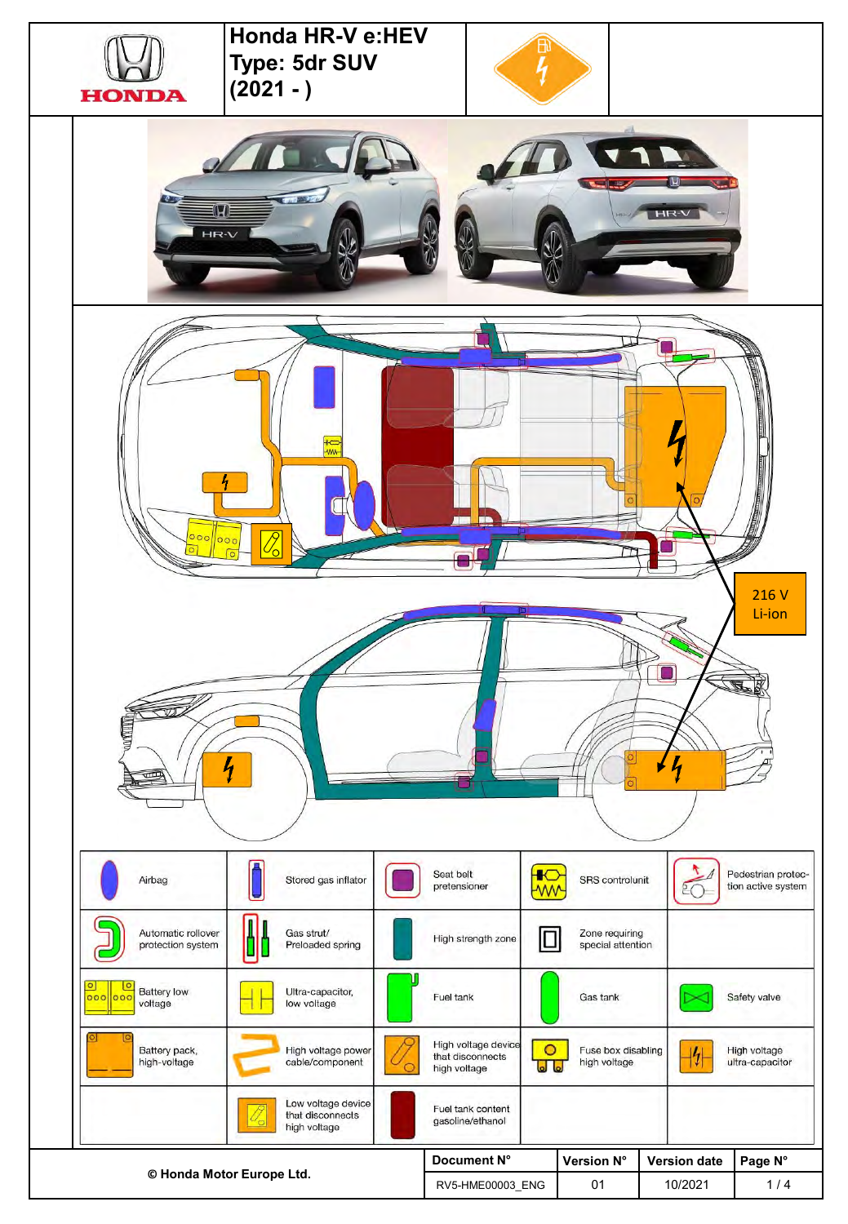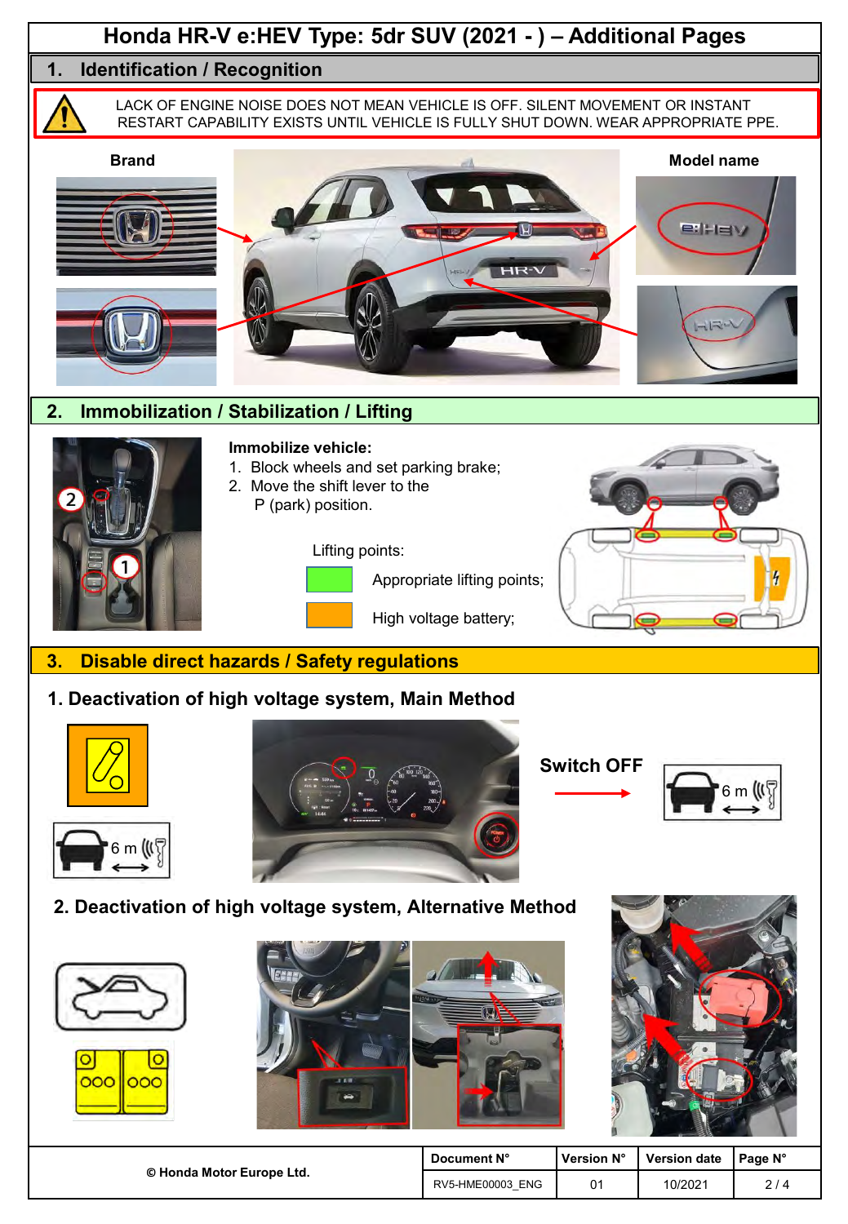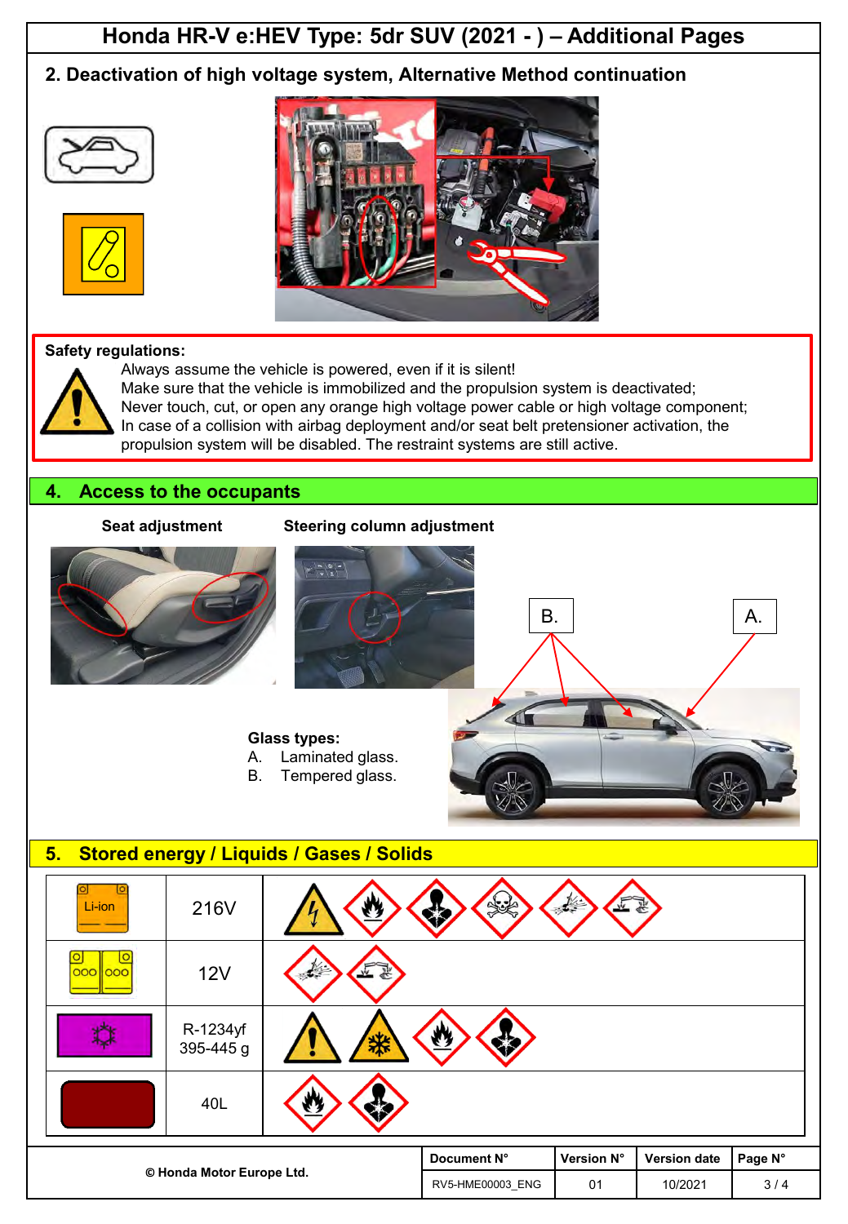## **Honda HR-V e:HEV Type: 5dr SUV (2021 - ) – Additional Pages**

### **2. Deactivation of high voltage system, Alternative Method continuation**







#### **Safety regulations:**

Always assume the vehicle is powered, even if it is silent!



Make sure that the vehicle is immobilized and the propulsion system is deactivated;

Never touch, cut, or open any orange high voltage power cable or high voltage component; In case of a collision with airbag deployment and/or seat belt pretensioner activation, the

propulsion system will be disabled. The restraint systems are still active.

#### **4. Access to the occupants**

#### **Seat adjustment Steering column adjustment**





**Glass types:**

- A. Laminated glass.
- B. Tempered glass.



RV5-HME00003 ENG 01 10/2021 3/4

# **©️ Honda Motor Europe Ltd. Document N° Version N° Version date Page N°** 216V 12V R-1234yf 395-445 g 40L **5. Stored energy / Liquids / Gases / Solids** Li-ion